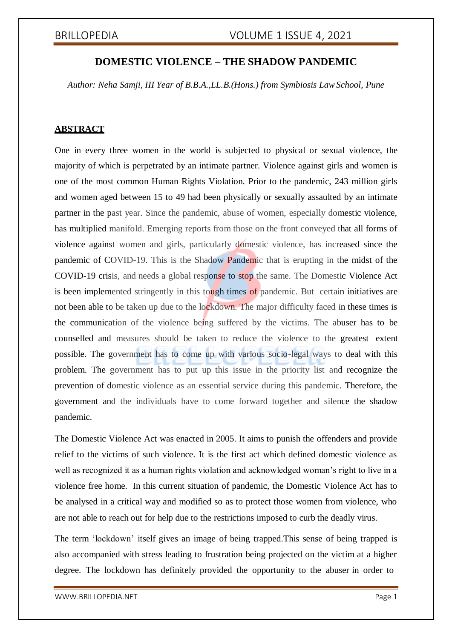### **DOMESTIC VIOLENCE – THE SHADOW PANDEMIC**

*Author: Neha Samji, III Year of B.B.A.,LL.B.(Hons.) from Symbiosis LawSchool, Pune*

### **ABSTRACT**

One in every three women in the world is subjected to physical or sexual violence, the majority of which is perpetrated by an intimate partner. Violence against girls and women is one of the most common Human Rights Violation. Prior to the pandemic, 243 million girls and women aged between 15 to 49 had been physically or sexually assaulted by an intimate partner in the past year. Since the pandemic, abuse of women, especially domestic violence, has multiplied manifold. Emerging reports from those on the front conveyed that all forms of violence against women and girls, particularly domestic violence, has increased since the pandemic of COVID-19. This is the Shadow Pandemic that is erupting in the midst of the COVID-19 crisis, and needs a global response to stop the same. The Domestic Violence Act is been implemented stringently in this tough times of pandemic. But certain initiatives are not been able to be taken up due to the lockdown. The major difficulty faced in these times is the communication of the violence being suffered by the victims. The abuser has to be counselled and measures should be taken to reduce the violence to the greatest extent possible. The government has to come up with various socio-legal ways to deal with this problem. The government has to put up this issue in the priority list and recognize the prevention of domestic violence as an essential service during this pandemic. Therefore, the government and the individuals have to come forward together and silence the shadow pandemic.

The Domestic Violence Act was enacted in 2005. It aims to punish the offenders and provide relief to the victims of such violence. It is the first act which defined domestic violence as well as recognized it as a human rights violation and acknowledged woman's right to live in a violence free home. In this current situation of pandemic, the Domestic Violence Act has to be analysed in a critical way and modified so as to protect those women from violence, who are not able to reach out for help due to the restrictions imposed to curb the deadly virus.

The term 'lockdown' itself gives an image of being trapped.This sense of being trapped is also accompanied with stress leading to frustration being projected on the victim at a higher degree. The lockdown has definitely provided the opportunity to the abuser in order to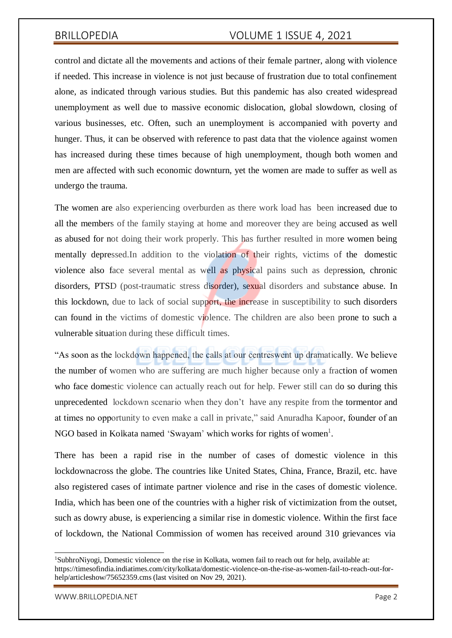control and dictate all the movements and actions of their female partner, along with violence if needed. This increase in violence is not just because of frustration due to total confinement alone, as indicated through various studies. But this pandemic has also created widespread unemployment as well due to massive economic dislocation, global slowdown, closing of various businesses, etc. Often, such an unemployment is accompanied with poverty and hunger. Thus, it can be observed with reference to past data that the violence against women has increased during these times because of high unemployment, though both women and men are affected with such economic downturn, yet the women are made to suffer as well as undergo the trauma.

The women are also experiencing overburden as there work load has been increased due to all the members of the family staying at home and moreover they are being accused as well as abused for not doing their work properly. This has further resulted in more women being mentally depressed.In addition to the violation of their rights, victims of the domestic violence also face several mental as well as physical pains such as depression, chronic disorders, PTSD (post-traumatic stress disorder), sexual disorders and substance abuse. In this lockdown, due to lack of social support, the increase in susceptibility to such disorders can found in the victims of domestic violence. The children are also been prone to such a vulnerable situation during these difficult times.

"As soon as the lockdown happened, the calls at our centreswent up dramatically. We believe the number of women who are suffering are much higher because only a fraction of women who face domestic violence can actually reach out for help. Fewer still can do so during this unprecedented lockdown scenario when they don't have any respite from the tormentor and at times no opportunity to even make a call in private," said Anuradha Kapoor, founder of an NGO based in Kolkata named 'Swayam' which works for rights of women<sup>1</sup>.

There has been a rapid rise in the number of cases of domestic violence in this lockdownacross the globe. The countries like United States, China, France, Brazil, etc. have also registered cases of intimate partner violence and rise in the cases of domestic violence. India, which has been one of the countries with a higher risk of victimization from the outset, such as dowry abuse, is experiencing a similar rise in domestic violence. Within the first face of lockdown, the National Commission of women has received around 310 grievances via

<sup>&</sup>lt;sup>1</sup>SubhroNiyogi, Domestic violence on the rise in Kolkata, women fail to reach out for help, available at: https://timesofindia.indiatimes.com/city/kolkata/domestic-violence-on-the-rise-as-women-fail-to-reach-out-forhelp/articleshow/75652359.cms (last visited on Nov 29, 2021).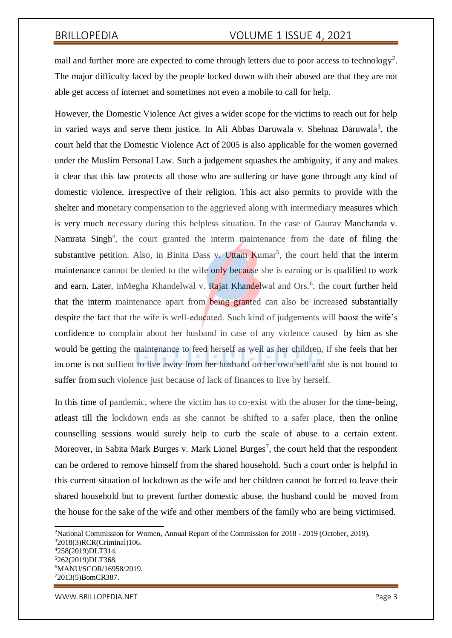mail and further more are expected to come through letters due to poor access to technology<sup>2</sup>. The major difficulty faced by the people locked down with their abused are that they are not able get access of internet and sometimes not even a mobile to call for help.

However, the Domestic Violence Act gives a wider scope for the victims to reach out for help in varied ways and serve them justice. In Ali Abbas Daruwala v. Shehnaz Daruwala<sup>3</sup>, the court held that the Domestic Violence Act of 2005 is also applicable for the women governed under the Muslim Personal Law. Such a judgement squashes the ambiguity, if any and makes it clear that this law protects all those who are suffering or have gone through any kind of domestic violence, irrespective of their religion. This act also permits to provide with the shelter and monetary compensation to the aggrieved along with intermediary measures which is very much necessary during this helpless situation. In the case of Gaurav Manchanda v. Namrata Singh<sup>4</sup>, the court granted the interm maintenance from the date of filing the substantive petition. Also, in Binita Dass v. Uttam Kumar<sup>5</sup>, the court held that the interm maintenance cannot be denied to the wife only because she is earning or is qualified to work and earn. Later, inMegha Khandelwal v. Rajat Khandelwal and Ors.<sup>6</sup>, the court further held that the interm maintenance apart from being granted can also be increased substantially despite the fact that the wife is well-educated. Such kind of judgements will boost the wife's confidence to complain about her husband in case of any violence caused by him as she would be getting the maintenance to feed herself as well as her children, if she feels that her income is not suffient to live away from her husband on her own self and she is not bound to suffer from such violence just because of lack of finances to live by herself.

In this time of pandemic, where the victim has to co-exist with the abuser for the time-being, atleast till the lockdown ends as she cannot be shifted to a safer place, then the online counselling sessions would surely help to curb the scale of abuse to a certain extent. Moreover, in Sabita Mark Burges v. Mark Lionel Burges<sup>7</sup>, the court held that the respondent can be ordered to remove himself from the shared household. Such a court order is helpful in this current situation of lockdown as the wife and her children cannot be forced to leave their shared household but to prevent further domestic abuse, the husband could be moved from the house for the sake of the wife and other members of the family who are being victimised.

[WWW.BRILLOPEDIA.NET](http://www.brillopedia.net/) And the state of the state of the state of the state of the state of the state of the state of the state of the state of the state of the state of the state of the state of the state of the state of the

<sup>2</sup>National Commission for Women, Annual Report of the Commission for 2018 - 2019 (October, 2019). <sup>3</sup>2018(3)RCR(Criminal)106. <sup>4</sup>258(2019)DLT314. <sup>5</sup>262(2019)DLT368. <sup>6</sup>MANU/SCOR/16958/2019. 72013(5)BomCR387.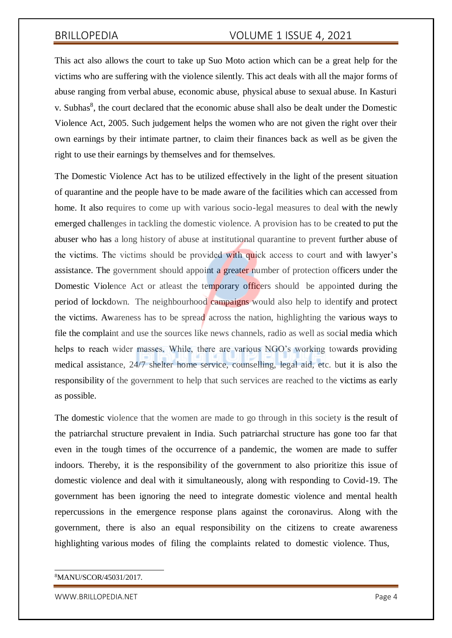This act also allows the court to take up Suo Moto action which can be a great help for the victims who are suffering with the violence silently. This act deals with all the major forms of abuse ranging from verbal abuse, economic abuse, physical abuse to sexual abuse. In Kasturi v. Subhas<sup>8</sup>, the court declared that the economic abuse shall also be dealt under the Domestic Violence Act, 2005. Such judgement helps the women who are not given the right over their own earnings by their intimate partner, to claim their finances back as well as be given the right to use their earnings by themselves and for themselves.

The Domestic Violence Act has to be utilized effectively in the light of the present situation of quarantine and the people have to be made aware of the facilities which can accessed from home. It also requires to come up with various socio-legal measures to deal with the newly emerged challenges in tackling the domestic violence. A provision has to be created to put the abuser who has a long history of abuse at institutional quarantine to prevent further abuse of the victims. The victims should be provided with quick access to court and with lawyer's assistance. The government should appoint a greater number of protection officers under the Domestic Violence Act or at least the temporary officers should be appointed during the period of lockdown. The neighbourhood campaigns would also help to identify and protect the victims. Awareness has to be spread across the nation, highlighting the various ways to file the complaint and use the sources like news channels, radio as well as social media which helps to reach wider masses. While, there are various NGO's working towards providing medical assistance, 24/7 shelter home service, counselling, legal aid, etc. but it is also the responsibility of the government to help that such services are reached to the victims as early as possible.

The domestic violence that the women are made to go through in this society is the result of the patriarchal structure prevalent in India. Such patriarchal structure has gone too far that even in the tough times of the occurrence of a pandemic, the women are made to suffer indoors. Thereby, it is the responsibility of the government to also prioritize this issue of domestic violence and deal with it simultaneously, along with responding to Covid-19. The government has been ignoring the need to integrate domestic violence and mental health repercussions in the emergence response plans against the coronavirus. Along with the government, there is also an equal responsibility on the citizens to create awareness highlighting various modes of filing the complaints related to domestic violence. Thus,

### 8MANU/SCOR/45031/2017.

[WWW.BRILLOPEDIA.NET](http://www.brillopedia.net/) And the state of the state of the state of the state of the state of the state of the state of the state of the state of the state of the state of the state of the state of the state of the state of the